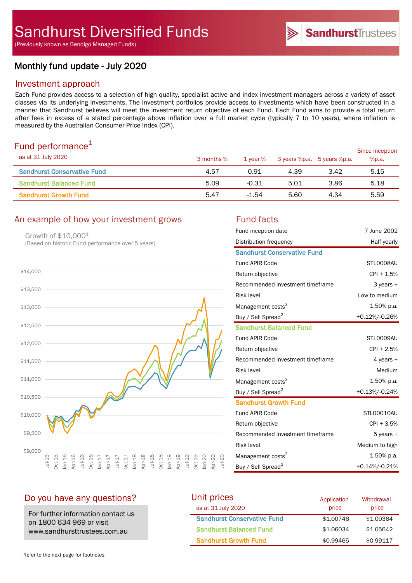(Previously known as Bendigo Managed Funds)

# Monthly fund update - July 2020

# Investment approach

Each Fund provides access to a selection of high quality, specialist active and index investment managers across a variety of asset classes via its underlying investments. The investment portfolios provide access to investments which have been constructed in a manner that Sandhurst believes will meet the investment return objective of each Fund. Each Fund aims to provide a total return after fees in excess of a stated percentage above inflation over a full market cycle (typically 7 to 10 years), where inflation is measured by the Australian Consumer Price Index (CPI).

## Fund performance $1$

| as at 31 July 2020                 | 3 months % | 1 year % | 3 years %p.a. 5 years %p.a. |      | Since inception<br>%p.a. |
|------------------------------------|------------|----------|-----------------------------|------|--------------------------|
| <b>Sandhurst Conservative Fund</b> | 4.57       | 0.91     | 4.39                        | 3.42 | 5.15                     |
| <b>Sandhurst Balanced Fund</b>     | 5.09       | $-0.31$  | 5.01                        | 3.86 | 5.18                     |
| <b>Sandhurst Growth Fund</b>       | 5.47       | $-1.54$  | 5.60                        | 4.34 | 5.59                     |

## An example of how your investment grows Fund facts

Growth of \$10,0001 (Based on historic Fund performance over 5 years)



| Fund inception date                | 7 June 2002    |
|------------------------------------|----------------|
| Distribution frequency             | Half yearly    |
| <b>Sandhurst Conservative Fund</b> |                |
| <b>Fund APIR Code</b>              | STL0008AU      |
| Return objective                   | $CPI + 1.5%$   |
| Recommended investment timeframe   | 3 years +      |
| <b>Risk level</b>                  | Low to medium  |
| Management costs <sup>2</sup>      | 1.50% p.a.     |
| Buy / Sell Spread <sup>2</sup>     | +0.12%/-0.26%  |
| <b>Sandhurst Balanced Fund</b>     |                |
| <b>Fund APIR Code</b>              | STL0009AU      |
| Return objective                   | $CPI + 2.5%$   |
| Recommended investment timeframe   | 4 years +      |
| <b>Risk level</b>                  | Medium         |
| Management costs <sup>2</sup>      | 1.50% p.a.     |
| Buy / Sell Spread <sup>2</sup>     | +0.13%/-0.24%  |
| <b>Sandhurst Growth Fund</b>       |                |
| <b>Fund APIR Code</b>              | STL00010AU     |
| Return objective                   | $CPI + 3.5%$   |
| Recommended investment timeframe   | 5 years +      |
| <b>Risk level</b>                  | Medium to high |
| Management costs <sup>2</sup>      | $1.50\%$ p.a.  |
| Buy / Sell Spread <sup>2</sup>     | +0.14%/-0.21%  |

## Do you have any questions?

For further information contact us on 1800 634 969 or visit www.sandhursttrustees.com.au

| Unit prices                        | Application | Withdrawal |
|------------------------------------|-------------|------------|
| as at 31 July 2020                 | price       | price      |
| <b>Sandhurst Conservative Fund</b> | \$1,00746   | \$1,00364  |
| <b>Sandhurst Balanced Fund</b>     | \$1.06034   | \$1,05642  |
| <b>Sandhurst Growth Fund</b>       | \$0.99465   | \$0.99117  |